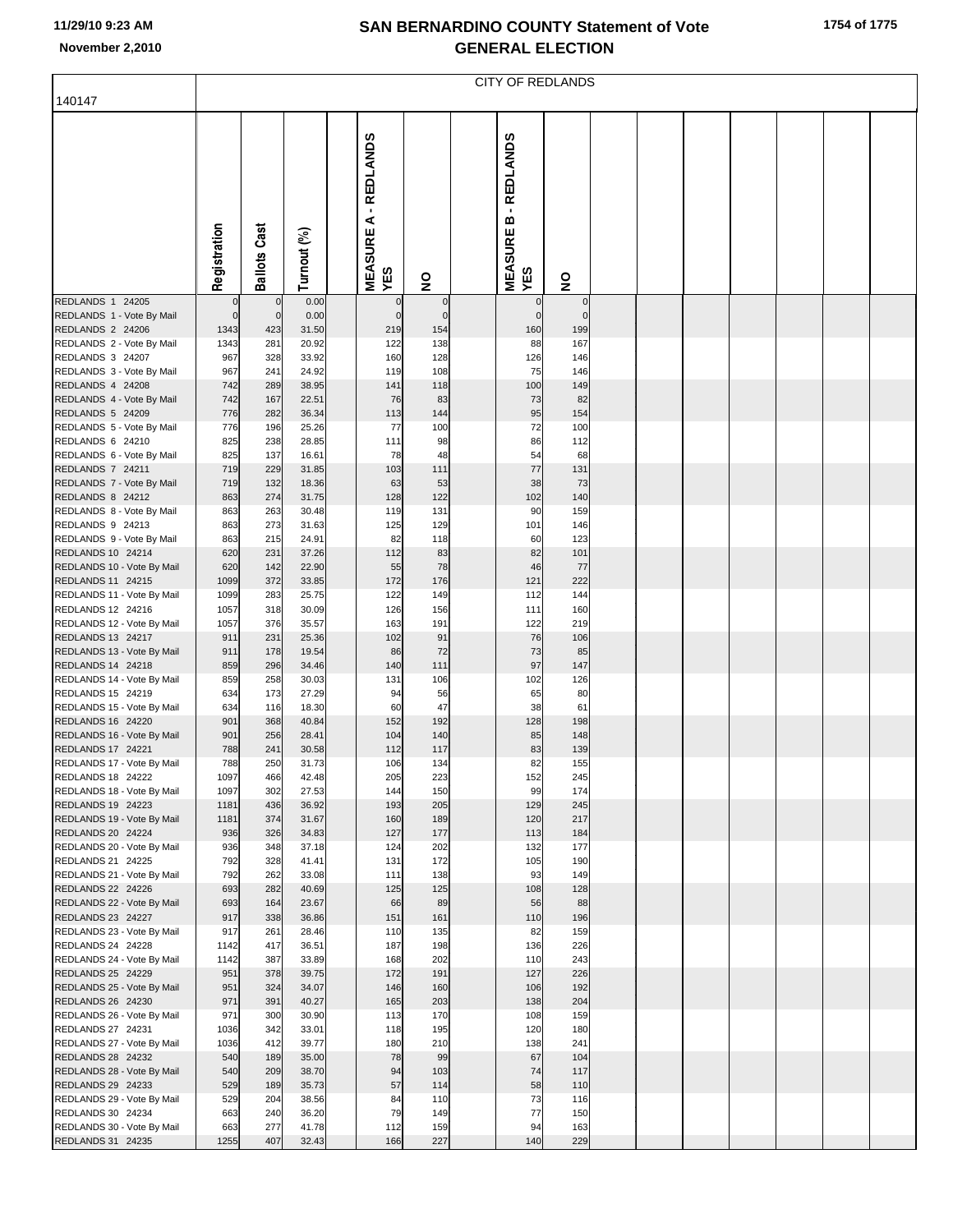|                                                 | <b>CITY OF REDLANDS</b> |                     |                |  |                                          |                 |  |                                          |                    |  |  |  |  |  |  |  |
|-------------------------------------------------|-------------------------|---------------------|----------------|--|------------------------------------------|-----------------|--|------------------------------------------|--------------------|--|--|--|--|--|--|--|
| 140147                                          |                         |                     |                |  |                                          |                 |  |                                          |                    |  |  |  |  |  |  |  |
|                                                 | Registration            | <b>Ballots Cast</b> | Turnout (%)    |  | - REDLANDS<br>⋖<br><b>MEASURE</b><br>YES | $\frac{1}{2}$   |  | - REDLANDS<br>m<br><b>MEASURE</b><br>YES | $\frac{1}{2}$      |  |  |  |  |  |  |  |
| REDLANDS 1 24205                                | $\mathbf 0$             | $\mathbf 0$         | 0.00           |  | 0                                        | $\mathbf 0$     |  | $\Omega$                                 | $\Omega$           |  |  |  |  |  |  |  |
| REDLANDS 1 - Vote By Mail<br>REDLANDS 2 24206   | $\mathbf{0}$<br>1343    | $\mathbf 0$<br>423  | 0.00<br>31.50  |  | $\Omega$<br>219                          | $\Omega$<br>154 |  | $\mathbf 0$<br>160                       | $\mathbf 0$<br>199 |  |  |  |  |  |  |  |
| REDLANDS 2 - Vote By Mail                       | 1343                    | 281                 | 20.92          |  | 122                                      | 138             |  | 88                                       | 167                |  |  |  |  |  |  |  |
| REDLANDS 3 24207                                | 967                     | 328                 | 33.92          |  | 160                                      | 128             |  | 126                                      | 146                |  |  |  |  |  |  |  |
| REDLANDS 3 - Vote By Mail<br>REDLANDS 4 24208   | 967<br>742              | 241                 | 24.92<br>38.95 |  | 119                                      | 108<br>118      |  | 75<br>100                                | 146<br>149         |  |  |  |  |  |  |  |
| REDLANDS 4 - Vote By Mail                       | 742                     | 289<br>167          | 22.51          |  | 141<br>76                                | 83              |  | 73                                       | 82                 |  |  |  |  |  |  |  |
| REDLANDS 5 24209                                | 776                     | 282                 | 36.34          |  | 113                                      | 144             |  | 95                                       | 154                |  |  |  |  |  |  |  |
| REDLANDS 5 - Vote By Mail                       | 776                     | 196                 | 25.26          |  | 77                                       | 100             |  | 72                                       | 100                |  |  |  |  |  |  |  |
| REDLANDS 6 24210                                | 825                     | 238                 | 28.85          |  | 111                                      | 98              |  | 86                                       | 112                |  |  |  |  |  |  |  |
| REDLANDS 6 - Vote By Mail<br>REDLANDS 7 24211   | 825<br>719              | 137<br>229          | 16.61<br>31.85 |  | 78<br>103                                | 48<br>111       |  | 54<br>77                                 | 68<br>131          |  |  |  |  |  |  |  |
| REDLANDS 7 - Vote By Mail                       | 719                     | 132                 | 18.36          |  | 63                                       | 53              |  | 38                                       | 73                 |  |  |  |  |  |  |  |
| REDLANDS 8 24212                                | 863                     | 274                 | 31.75          |  | 128                                      | 122             |  | 102                                      | 140                |  |  |  |  |  |  |  |
| REDLANDS 8 - Vote By Mail                       | 863                     | 263                 | 30.48          |  | 119                                      | 131             |  | 90                                       | 159                |  |  |  |  |  |  |  |
| REDLANDS 9 24213                                | 863                     | 273                 | 31.63          |  | 125                                      | 129             |  | 101                                      | 146                |  |  |  |  |  |  |  |
| REDLANDS 9 - Vote By Mail<br>REDLANDS 10 24214  | 863<br>620              | 215<br>231          | 24.91<br>37.26 |  | 82<br>112                                | 118<br>83       |  | 60<br>82                                 | 123<br>101         |  |  |  |  |  |  |  |
| REDLANDS 10 - Vote By Mail                      | 620                     | 142                 | 22.90          |  | 55                                       | 78              |  | 46                                       | 77                 |  |  |  |  |  |  |  |
| REDLANDS 11 24215                               | 1099                    | 372                 | 33.85          |  | 172                                      | 176             |  | 121                                      | 222                |  |  |  |  |  |  |  |
| REDLANDS 11 - Vote By Mail                      | 1099                    | 283                 | 25.75          |  | 122                                      | 149             |  | 112                                      | 144                |  |  |  |  |  |  |  |
| REDLANDS 12 24216<br>REDLANDS 12 - Vote By Mail | 1057<br>1057            | 318<br>376          | 30.09<br>35.57 |  | 126<br>163                               | 156<br>191      |  | 111<br>122                               | 160<br>219         |  |  |  |  |  |  |  |
| REDLANDS 13 24217                               | 911                     | 231                 | 25.36          |  | 102                                      | 91              |  | 76                                       | 106                |  |  |  |  |  |  |  |
| REDLANDS 13 - Vote By Mail                      | 911                     | 178                 | 19.54          |  | 86                                       | 72              |  | 73                                       | 85                 |  |  |  |  |  |  |  |
| REDLANDS 14 24218                               | 859                     | 296                 | 34.46          |  | 140                                      | 111             |  | 97                                       | 147                |  |  |  |  |  |  |  |
| REDLANDS 14 - Vote By Mail<br>REDLANDS 15 24219 | 859<br>634              | 258<br>173          | 30.03<br>27.29 |  | 131<br>94                                | 106<br>56       |  | 102<br>65                                | 126<br>80          |  |  |  |  |  |  |  |
| REDLANDS 15 - Vote By Mail                      | 634                     | 116                 | 18.30          |  | 60                                       | 47              |  | 38                                       | 61                 |  |  |  |  |  |  |  |
| REDLANDS 16 24220                               | 901                     | 368                 | 40.84          |  | 152                                      | 192             |  | 128                                      | 198                |  |  |  |  |  |  |  |
| REDLANDS 16 - Vote By Mail                      | 901                     | 256                 | 28.41          |  | 104                                      | 140             |  | 85                                       | 148                |  |  |  |  |  |  |  |
| REDLANDS 17 24221<br>REDLANDS 17 - Vote By Mail | 788<br>788              | 241<br>250          | 30.58<br>31.73 |  | 112<br>106                               | 117<br>134      |  | 83<br>82                                 | 139<br>155         |  |  |  |  |  |  |  |
| REDLANDS 18 24222                               | 1097                    | 466                 | 42.48          |  | 205                                      | 223             |  | 152                                      | 245                |  |  |  |  |  |  |  |
| REDLANDS 18 - Vote By Mail                      | 1097                    | 302                 | 27.53          |  | 144                                      | 150             |  | 99                                       | 174                |  |  |  |  |  |  |  |
| REDLANDS 19 24223                               | 1181                    | 436                 | 36.92          |  | 193                                      | 205             |  | 129                                      | 245                |  |  |  |  |  |  |  |
| REDLANDS 19 - Vote By Mail<br>REDLANDS 20 24224 | 1181<br>936             | 374<br>326          | 31.67<br>34.83 |  | 160<br>127                               | 189<br>177      |  | 120<br>113                               | 217<br>184         |  |  |  |  |  |  |  |
| REDLANDS 20 - Vote By Mail                      | 936                     | 348                 | 37.18          |  | 124                                      | 202             |  | 132                                      | 177                |  |  |  |  |  |  |  |
| REDLANDS 21 24225                               | 792                     | 328                 | 41.41          |  | 131                                      | 172             |  | 105                                      | 190                |  |  |  |  |  |  |  |
| REDLANDS 21 - Vote By Mail                      | 792                     | 262                 | 33.08          |  | 111                                      | 138             |  | 93                                       | 149                |  |  |  |  |  |  |  |
| REDLANDS 22 24226<br>REDLANDS 22 - Vote By Mail | 693<br>693              | 282<br>164          | 40.69<br>23.67 |  | 125<br>66                                | 125<br>89       |  | 108<br>56                                | 128<br>88          |  |  |  |  |  |  |  |
| REDLANDS 23 24227                               | 917                     | 338                 | 36.86          |  | 151                                      | 161             |  | 110                                      | 196                |  |  |  |  |  |  |  |
| REDLANDS 23 - Vote By Mail                      | 917                     | 261                 | 28.46          |  | 110                                      | 135             |  | 82                                       | 159                |  |  |  |  |  |  |  |
| REDLANDS 24 24228                               | 1142                    | 417                 | 36.51          |  | 187                                      | 198             |  | 136                                      | 226                |  |  |  |  |  |  |  |
| REDLANDS 24 - Vote By Mail<br>REDLANDS 25 24229 | 1142<br>951             | 387<br>378          | 33.89<br>39.75 |  | 168<br>172                               | 202<br>191      |  | 110<br>127                               | 243<br>226         |  |  |  |  |  |  |  |
| REDLANDS 25 - Vote By Mail                      | 951                     | 324                 | 34.07          |  | 146                                      | 160             |  | 106                                      | 192                |  |  |  |  |  |  |  |
| REDLANDS 26 24230                               | 971                     | 391                 | 40.27          |  | 165                                      | 203             |  | 138                                      | 204                |  |  |  |  |  |  |  |
| REDLANDS 26 - Vote By Mail                      | 971                     | 300                 | 30.90          |  | 113                                      | 170             |  | 108                                      | 159                |  |  |  |  |  |  |  |
| REDLANDS 27 24231<br>REDLANDS 27 - Vote By Mail | 1036<br>1036            | 342<br>412          | 33.01<br>39.77 |  | 118<br>180                               | 195<br>210      |  | 120<br>138                               | 180<br>241         |  |  |  |  |  |  |  |
| REDLANDS 28 24232                               | 540                     | 189                 | 35.00          |  | 78                                       | 99              |  | 67                                       | 104                |  |  |  |  |  |  |  |
| REDLANDS 28 - Vote By Mail                      | 540                     | 209                 | 38.70          |  | 94                                       | 103             |  | 74                                       | 117                |  |  |  |  |  |  |  |
| REDLANDS 29 24233                               | 529                     | 189                 | 35.73          |  | 57                                       | 114             |  | 58                                       | 110                |  |  |  |  |  |  |  |
| REDLANDS 29 - Vote By Mail                      | 529                     | 204                 | 38.56          |  | 84                                       | 110             |  | 73<br>77                                 | 116                |  |  |  |  |  |  |  |
| REDLANDS 30 24234<br>REDLANDS 30 - Vote By Mail | 663<br>663              | 240<br>277          | 36.20<br>41.78 |  | 79<br>112                                | 149<br>159      |  | 94                                       | 150<br>163         |  |  |  |  |  |  |  |
| REDLANDS 31 24235                               | 1255                    | 407                 | 32.43          |  | 166                                      | 227             |  | 140                                      | 229                |  |  |  |  |  |  |  |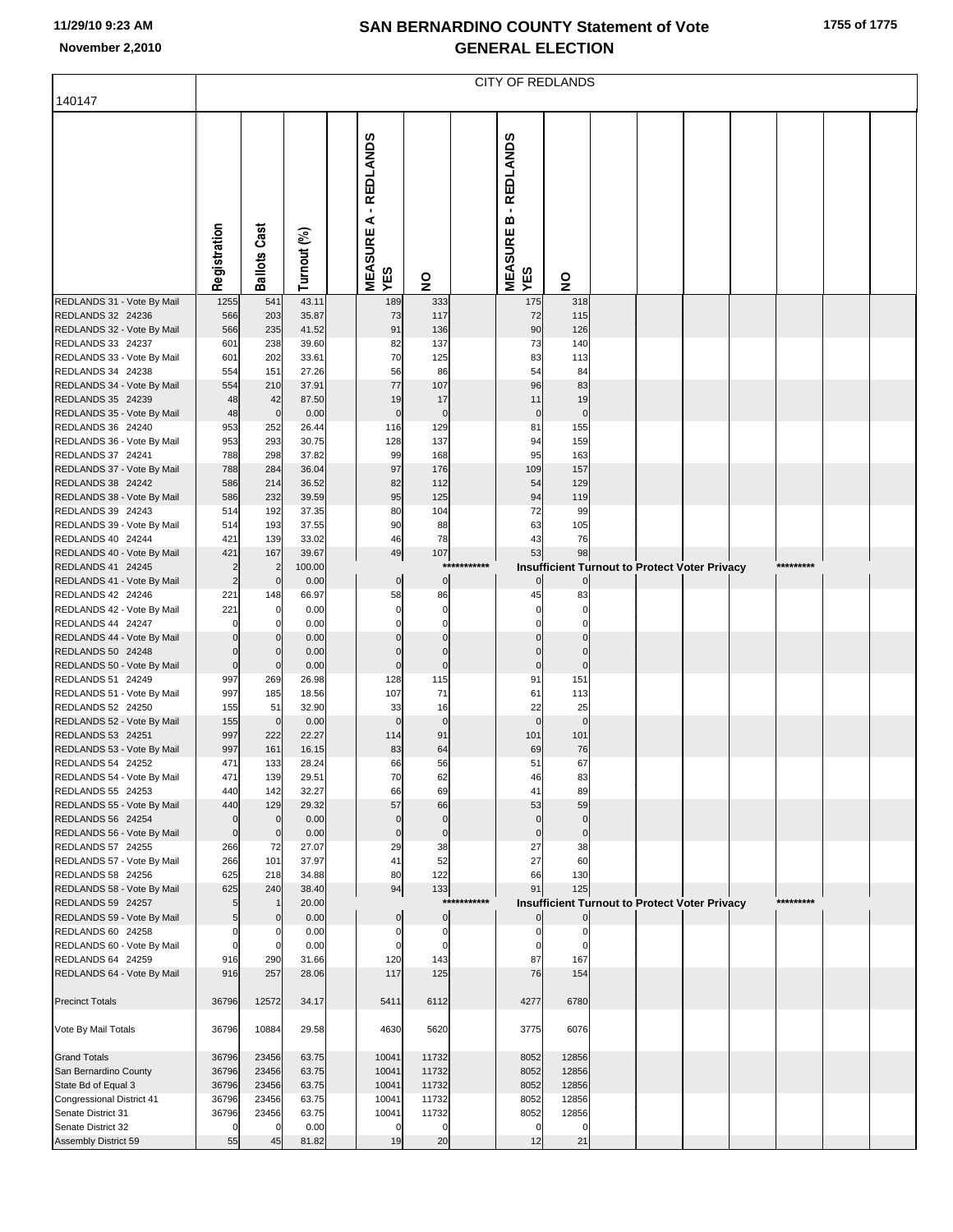| 1755 of 1775 |
|--------------|
|              |

|                                                 | <b>CITY OF REDLANDS</b>    |                         |                |  |                                          |                         |             |                                          |                               |  |                                                      |  |  |           |  |  |
|-------------------------------------------------|----------------------------|-------------------------|----------------|--|------------------------------------------|-------------------------|-------------|------------------------------------------|-------------------------------|--|------------------------------------------------------|--|--|-----------|--|--|
| 140147                                          |                            |                         |                |  |                                          |                         |             |                                          |                               |  |                                                      |  |  |           |  |  |
|                                                 | Registration               | <b>Ballots Cast</b>     | Turnout (%)    |  | - REDLANDS<br>⋖<br><b>MEASURE</b><br>YES | $\overline{\mathbf{z}}$ |             | - REDLANDS<br>m<br><b>MEASURE</b><br>YES | $\overline{\mathbf{z}}$       |  |                                                      |  |  |           |  |  |
| REDLANDS 31 - Vote By Mail                      | 1255                       | 541                     | 43.11          |  | 189                                      | 333                     |             | 175                                      | 318                           |  |                                                      |  |  |           |  |  |
| REDLANDS 32 24236<br>REDLANDS 32 - Vote By Mail | 566<br>566                 | 203<br>235              | 35.87<br>41.52 |  | 73<br>91                                 | 117<br>136              |             | 72<br>90                                 | 115<br>126                    |  |                                                      |  |  |           |  |  |
| REDLANDS 33 24237                               | 601                        | 238                     | 39.60          |  | 82                                       | 137                     |             | 73                                       | 140                           |  |                                                      |  |  |           |  |  |
| REDLANDS 33 - Vote By Mail                      | 601                        | 202                     | 33.61          |  | 70                                       | 125                     |             | 83                                       | 113                           |  |                                                      |  |  |           |  |  |
| REDLANDS 34 24238                               | 554                        | 151                     | 27.26          |  | 56                                       | 86                      |             | 54                                       | 84                            |  |                                                      |  |  |           |  |  |
| REDLANDS 34 - Vote By Mail<br>REDLANDS 35 24239 | 554<br>48                  | 210<br>42               | 37.91<br>87.50 |  | 77<br>19                                 | 107<br>17               |             | 96<br>11                                 | 83<br>19                      |  |                                                      |  |  |           |  |  |
| REDLANDS 35 - Vote By Mail                      | 48                         | $\mathbf 0$             | 0.00           |  | $\mathbf 0$                              | $\pmb{0}$               |             | $\mathbf 0$                              | $\mathbf 0$                   |  |                                                      |  |  |           |  |  |
| REDLANDS 36 24240                               | 953                        | 252                     | 26.44          |  | 116                                      | 129                     |             | 81                                       | 155                           |  |                                                      |  |  |           |  |  |
| REDLANDS 36 - Vote By Mail                      | 953                        | 293                     | 30.75          |  | 128                                      | 137                     |             | 94                                       | 159                           |  |                                                      |  |  |           |  |  |
| REDLANDS 37 24241                               | 788                        | 298                     | 37.82          |  | 99                                       | 168                     |             | 95                                       | 163                           |  |                                                      |  |  |           |  |  |
| REDLANDS 37 - Vote By Mail<br>REDLANDS 38 24242 | 788<br>586                 | 284<br>214              | 36.04<br>36.52 |  | 97<br>82                                 | 176<br>112              |             | 109<br>54                                | 157<br>129                    |  |                                                      |  |  |           |  |  |
| REDLANDS 38 - Vote By Mail                      | 586                        | 232                     | 39.59          |  | 95                                       | 125                     |             | 94                                       | 119                           |  |                                                      |  |  |           |  |  |
| REDLANDS 39 24243                               | 514                        | 192                     | 37.35          |  | 80                                       | 104                     |             | 72                                       | 99                            |  |                                                      |  |  |           |  |  |
| REDLANDS 39 - Vote By Mail                      | 514                        | 193                     | 37.55          |  | 90                                       | 88                      |             | 63                                       | 105                           |  |                                                      |  |  |           |  |  |
| REDLANDS 40 24244                               | 421                        | 139                     | 33.02<br>39.67 |  | 46                                       | 78<br>107               |             | 43<br>53                                 | 76                            |  |                                                      |  |  |           |  |  |
| REDLANDS 40 - Vote By Mail<br>REDLANDS 41 24245 | 421<br>$\overline{c}$      | 167<br>$\overline{2}$   | 100.00         |  | 49                                       |                         | *********** |                                          | 98                            |  | <b>Insufficient Turnout to Protect Voter Privacy</b> |  |  | ********* |  |  |
| REDLANDS 41 - Vote By Mail                      | $\overline{c}$             | $\mathbf 0$             | 0.00           |  | $\pmb{0}$                                | $\pmb{0}$               |             | $\Omega$                                 | $\overline{0}$                |  |                                                      |  |  |           |  |  |
| REDLANDS 42 24246                               | 221                        | 148                     | 66.97          |  | 58                                       | 86                      |             | 45                                       | 83                            |  |                                                      |  |  |           |  |  |
| REDLANDS 42 - Vote By Mail                      | 221                        | 0                       | 0.00           |  | $\mathbf 0$                              | $\mathbf 0$             |             | $\sqrt{ }$                               | $\Omega$                      |  |                                                      |  |  |           |  |  |
| REDLANDS 44 24247<br>REDLANDS 44 - Vote By Mail | $\mathbf 0$<br>$\mathbf 0$ | 0<br>$\Omega$           | 0.00<br>0.00   |  | $\Omega$                                 | $\Omega$                |             | $\sqrt{ }$                               | $\Omega$<br>$\Omega$          |  |                                                      |  |  |           |  |  |
| REDLANDS 50 24248                               | $\pmb{0}$                  | $\mathbf 0$             | 0.00           |  | $\mathsf{C}$                             | $\Omega$                |             | $\sqrt{ }$                               | $\Omega$                      |  |                                                      |  |  |           |  |  |
| REDLANDS 50 - Vote By Mail                      | $\mathbf 0$                | $\mathbf 0$             | 0.00           |  | $\mathbf 0$                              | $\mathbf 0$             |             | $\mathbf 0$                              | $\mathbf 0$                   |  |                                                      |  |  |           |  |  |
| REDLANDS 51 24249                               | 997                        | 269                     | 26.98          |  | 128                                      | 115                     |             | 91                                       | 151                           |  |                                                      |  |  |           |  |  |
| REDLANDS 51 - Vote By Mail<br>REDLANDS 52 24250 | 997                        | 185                     | 18.56          |  | 107                                      | 71                      |             | 61                                       | 113                           |  |                                                      |  |  |           |  |  |
| REDLANDS 52 - Vote By Mail                      | 155<br>155                 | 51<br>$\mathbf 0$       | 32.90<br>0.00  |  | 33<br>$\mathbf 0$                        | 16<br>$\mathbf 0$       |             | 22<br>$\mathbf 0$                        | 25<br>$\mathbf 0$             |  |                                                      |  |  |           |  |  |
| REDLANDS 53 24251                               | 997                        | 222                     | 22.27          |  | 114                                      | 91                      |             | 101                                      | 101                           |  |                                                      |  |  |           |  |  |
| REDLANDS 53 - Vote By Mail                      | 997                        | 161                     | 16.15          |  | 83                                       | 64                      |             | 69                                       | 76                            |  |                                                      |  |  |           |  |  |
| REDLANDS 54 24252                               | 471                        | 133                     | 28.24          |  | 66                                       | 56                      |             | 51                                       | 67                            |  |                                                      |  |  |           |  |  |
| REDLANDS 54 - Vote By Mail<br>REDLANDS 55 24253 | 471<br>440                 | 139<br>142              | 29.51<br>32.27 |  | 70<br>66                                 | 62<br>69                |             | 46<br>41                                 | 83<br>89                      |  |                                                      |  |  |           |  |  |
| REDLANDS 55 - Vote By Mail                      | 440                        | 129                     | 29.32          |  | 57                                       | 66                      |             | 53                                       | 59                            |  |                                                      |  |  |           |  |  |
| REDLANDS 56 24254                               | $\mathbf 0$                | $\mathbf 0$             | 0.00           |  | $\mathbf 0$                              | $\mathbf 0$             |             | $\mathbf 0$                              | $\overline{0}$                |  |                                                      |  |  |           |  |  |
| REDLANDS 56 - Vote By Mail                      | $\mathbf 0$                | $\mathbf 0$             | 0.00           |  | $\mathbf 0$                              | $\mathbf 0$             |             | $\mathbf 0$                              | $\overline{0}$                |  |                                                      |  |  |           |  |  |
| REDLANDS 57 24255<br>REDLANDS 57 - Vote By Mail | 266<br>266                 | 72<br>101               | 27.07<br>37.97 |  | 29<br>41                                 | 38<br>52                |             | 27<br>27                                 | 38<br>60                      |  |                                                      |  |  |           |  |  |
| REDLANDS 58 24256                               | 625                        | 218                     | 34.88          |  | 80                                       | 122                     |             | 66                                       | 130                           |  |                                                      |  |  |           |  |  |
| REDLANDS 58 - Vote By Mail                      | 625                        | 240                     | 38.40          |  | 94                                       | 133                     |             | 91                                       | 125                           |  |                                                      |  |  |           |  |  |
| REDLANDS 59 24257                               | 5                          |                         | 20.00          |  |                                          |                         | *********** |                                          |                               |  | <b>Insufficient Turnout to Protect Voter Privacy</b> |  |  | ********* |  |  |
| REDLANDS 59 - Vote By Mail<br>REDLANDS 60 24258 | 5<br>$\mathbf 0$           | $\mathbf 0$<br>$\Omega$ | 0.00<br>0.00   |  | $\pmb{0}$<br>C                           | $\mathbf 0$<br>$\Omega$ |             | C                                        | $\overline{0}$<br>$\mathbf 0$ |  |                                                      |  |  |           |  |  |
| REDLANDS 60 - Vote By Mail                      | $\mathbf 0$                |                         | 0.00           |  | C                                        | $\Omega$                |             |                                          | $\Omega$                      |  |                                                      |  |  |           |  |  |
| REDLANDS 64 24259                               | 916                        | 290                     | 31.66          |  | 120                                      | 143                     |             | 87                                       | 167                           |  |                                                      |  |  |           |  |  |
| REDLANDS 64 - Vote By Mail                      | 916                        | 257                     | 28.06          |  | 117                                      | 125                     |             | 76                                       | 154                           |  |                                                      |  |  |           |  |  |
| <b>Precinct Totals</b>                          | 36796                      | 12572                   | 34.17          |  | 5411                                     | 6112                    |             | 4277                                     | 6780                          |  |                                                      |  |  |           |  |  |
| Vote By Mail Totals                             | 36796                      | 10884                   | 29.58          |  | 4630                                     | 5620                    |             | 3775                                     | 6076                          |  |                                                      |  |  |           |  |  |
| <b>Grand Totals</b>                             | 36796                      | 23456                   | 63.75          |  | 10041                                    | 11732                   |             | 8052                                     | 12856                         |  |                                                      |  |  |           |  |  |
| San Bernardino County                           | 36796                      | 23456                   | 63.75          |  | 10041                                    | 11732                   |             | 8052                                     | 12856                         |  |                                                      |  |  |           |  |  |
| State Bd of Equal 3                             | 36796                      | 23456                   | 63.75          |  | 10041                                    | 11732                   |             | 8052                                     | 12856                         |  |                                                      |  |  |           |  |  |
| Congressional District 41<br>Senate District 31 | 36796<br>36796             | 23456<br>23456          | 63.75<br>63.75 |  | 10041<br>10041                           | 11732<br>11732          |             | 8052<br>8052                             | 12856<br>12856                |  |                                                      |  |  |           |  |  |
| Senate District 32                              | $\Omega$                   | $\Omega$                | 0.00           |  | $\mathbf 0$                              | $\Omega$                |             | $\mathbf 0$                              | $\Omega$                      |  |                                                      |  |  |           |  |  |
| Assembly District 59                            | 55                         | 45                      | 81.82          |  | 19                                       | 20                      |             | 12                                       | 21                            |  |                                                      |  |  |           |  |  |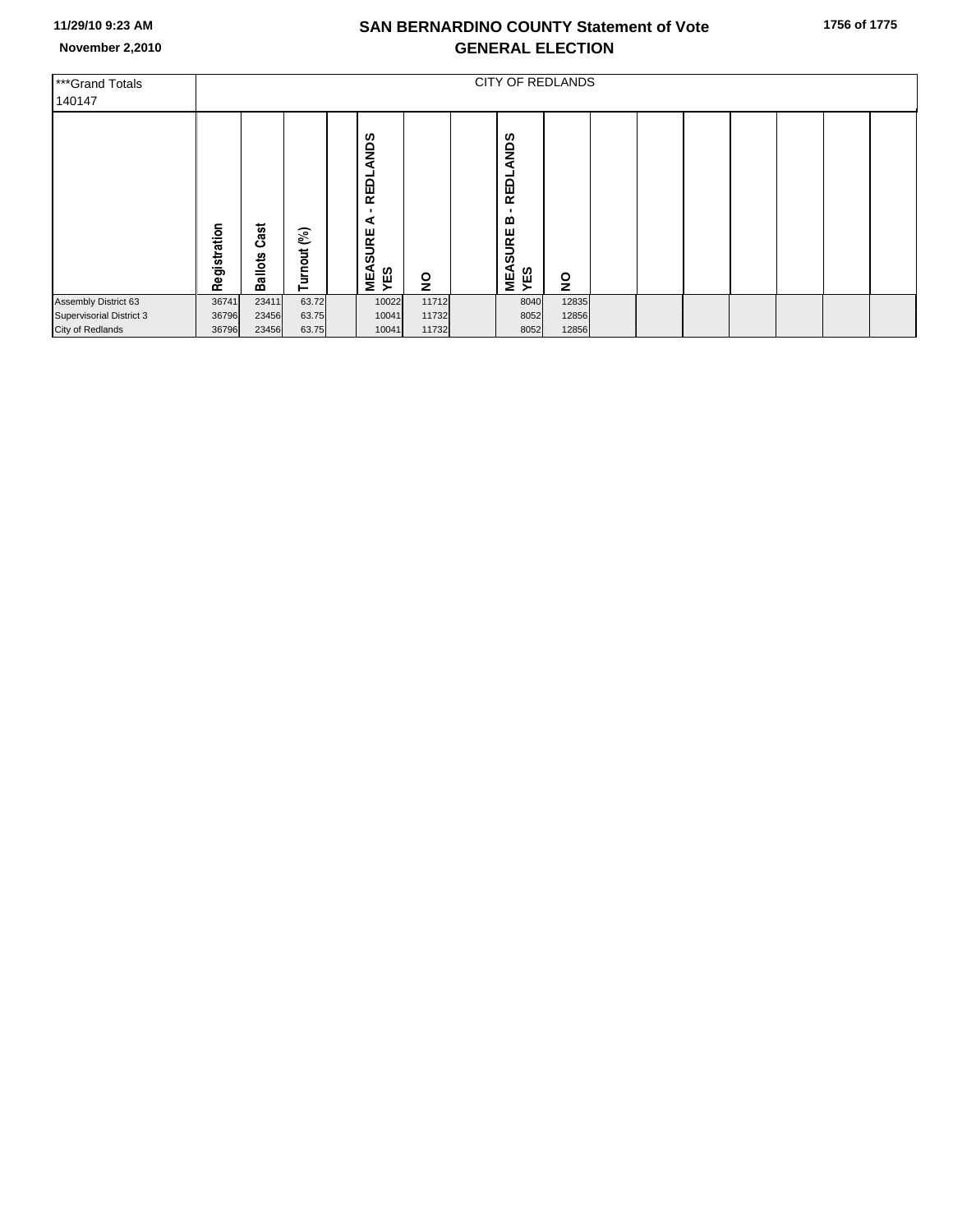| ***Grand Totals<br>140147 | <b>CITY OF REDLANDS</b> |                        |                |  |                                                       |                         |  |                                                |                         |  |  |  |  |  |  |  |
|---------------------------|-------------------------|------------------------|----------------|--|-------------------------------------------------------|-------------------------|--|------------------------------------------------|-------------------------|--|--|--|--|--|--|--|
|                           | Registration            | Cast<br><b>Ballots</b> | (%)<br>Turnout |  | ANDS<br><b>REDL</b><br>⋖<br><b>SURE</b><br>MEA<br>YES | $\overline{\mathbf{z}}$ |  | ANDS<br>REDL<br>≃<br><b>SURE</b><br>MEA<br>YES | $\overline{\mathbf{z}}$ |  |  |  |  |  |  |  |
| Assembly District 63      | 36741                   | 23411                  | 63.72          |  | 10022                                                 | 11712                   |  | 8040                                           | 12835                   |  |  |  |  |  |  |  |
| Supervisorial District 3  | 36796                   | 23456                  | 63.75          |  | 10041                                                 | 11732                   |  | 8052                                           | 12856                   |  |  |  |  |  |  |  |
| City of Redlands          | 36796                   | 23456                  | 63.75          |  | 10041                                                 | 11732                   |  | 8052                                           | 12856                   |  |  |  |  |  |  |  |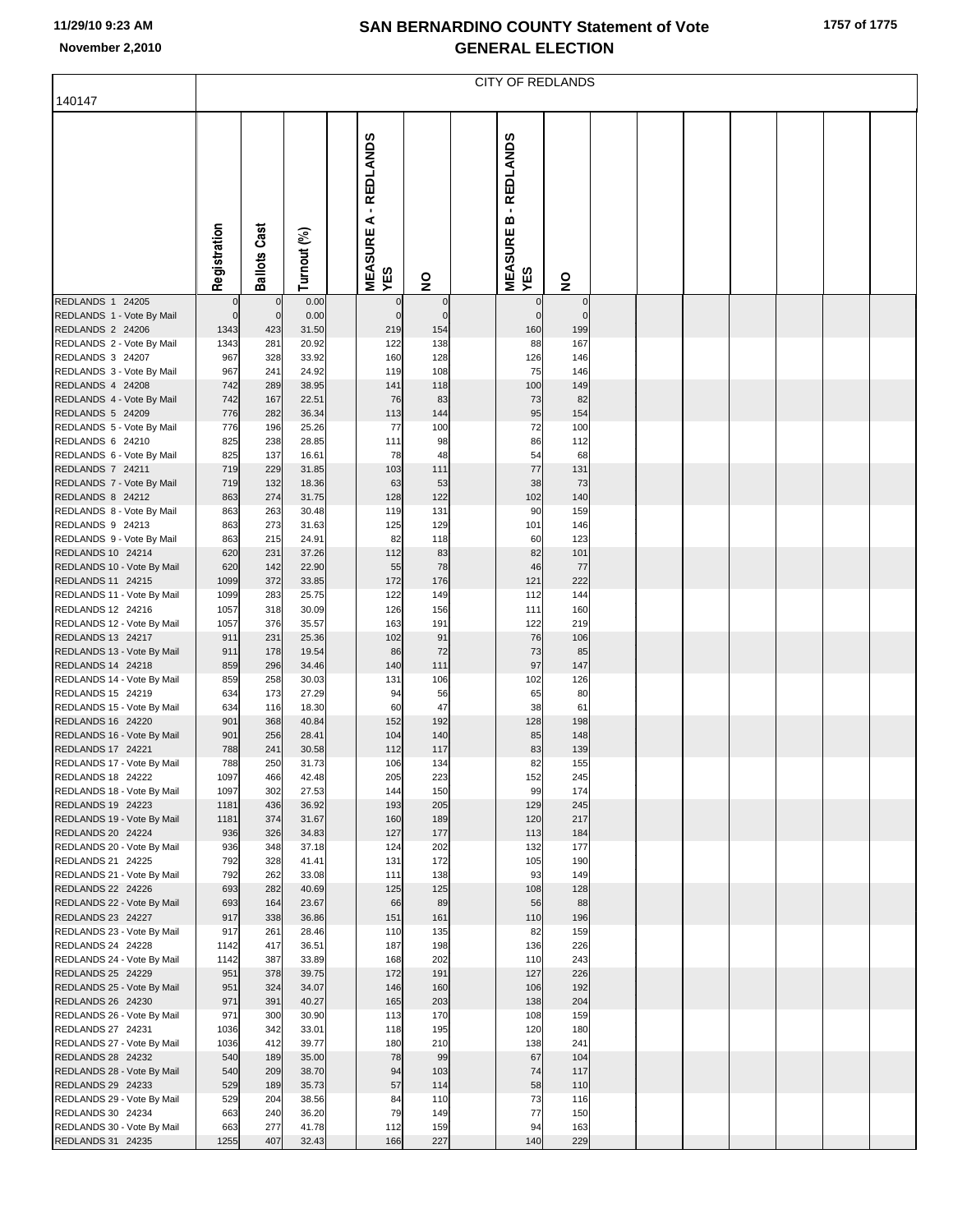|  |  |  | 1757 of 1775 |
|--|--|--|--------------|
|--|--|--|--------------|

|                                                        | <b>CITY OF REDLANDS</b> |                     |                |                 |                                              |                    |  |                                          |                    |  |  |  |  |  |  |
|--------------------------------------------------------|-------------------------|---------------------|----------------|-----------------|----------------------------------------------|--------------------|--|------------------------------------------|--------------------|--|--|--|--|--|--|
| 140147                                                 |                         |                     |                |                 |                                              |                    |  |                                          |                    |  |  |  |  |  |  |
|                                                        | Registration            | Cast<br>Ballots     | Turnout (%)    | <b>REDLANDS</b> | $\blacksquare$<br>⋖<br><b>MEASURE</b><br>YES | $\frac{1}{2}$      |  | - REDLANDS<br>m<br><b>MEASURE</b><br>YES | $\mathsf{S}$       |  |  |  |  |  |  |
| REDLANDS 1 24205                                       | $\mathbf 0$             | $\mathbf 0$         | 0.00           |                 | 0                                            | $\pmb{0}$          |  |                                          | $\mathbf 0$        |  |  |  |  |  |  |
| REDLANDS 1 - Vote By Mail<br>REDLANDS 2 24206          | $\mathbf 0$<br>1343     | $\mathbf{0}$<br>423 | 0.00<br>31.50  |                 | $\mathbf 0$<br>219                           | $\mathbf 0$<br>154 |  | $\Omega$<br>160                          | $\mathbf 0$<br>199 |  |  |  |  |  |  |
| REDLANDS 2 - Vote By Mail                              | 1343                    | 281                 | 20.92          |                 | 122                                          | 138                |  | 88                                       | 167                |  |  |  |  |  |  |
| REDLANDS 3 24207<br>REDLANDS 3 - Vote By Mail          | 967<br>967              | 328<br>241          | 33.92<br>24.92 |                 | 160<br>119                                   | 128<br>108         |  | 126<br>75                                | 146<br>146         |  |  |  |  |  |  |
| REDLANDS 4 24208                                       | 742                     | 289                 | 38.95          |                 | 141                                          | 118                |  | 100                                      | 149                |  |  |  |  |  |  |
| REDLANDS 4 - Vote By Mail                              | 742                     | 167                 | 22.51          |                 | 76                                           | 83                 |  | 73                                       | 82                 |  |  |  |  |  |  |
| REDLANDS 5 24209                                       | 776                     | 282                 | 36.34<br>25.26 |                 | 113<br>77                                    | 144                |  | 95<br>72                                 | 154                |  |  |  |  |  |  |
| REDLANDS 5 - Vote By Mail<br>REDLANDS 6 24210          | 776<br>825              | 196<br>238          | 28.85          |                 | 111                                          | 100<br>98          |  | 86                                       | 100<br>112         |  |  |  |  |  |  |
| REDLANDS 6 - Vote By Mail                              | 825                     | 137                 | 16.61          |                 | 78                                           | 48                 |  | 54                                       | 68                 |  |  |  |  |  |  |
| REDLANDS 7 24211                                       | 719                     | 229                 | 31.85          |                 | 103                                          | 111                |  | 77                                       | 131                |  |  |  |  |  |  |
| REDLANDS 7 - Vote By Mail<br>REDLANDS 8 24212          | 719<br>863              | 132<br>274          | 18.36<br>31.75 |                 | 63<br>128                                    | 53<br>122          |  | 38<br>102                                | 73<br>140          |  |  |  |  |  |  |
| REDLANDS 8 - Vote By Mail                              | 863                     | 263                 | 30.48          |                 | 119                                          | 131                |  | 90                                       | 159                |  |  |  |  |  |  |
| REDLANDS 9 24213                                       | 863                     | 273                 | 31.63          |                 | 125                                          | 129                |  | 101                                      | 146                |  |  |  |  |  |  |
| REDLANDS 9 - Vote By Mail<br>REDLANDS 10 24214         | 863<br>620              | 215<br>231          | 24.91<br>37.26 |                 | 82<br>112                                    | 118<br>83          |  | 60<br>82                                 | 123<br>101         |  |  |  |  |  |  |
| REDLANDS 10 - Vote By Mail                             | 620                     | 142                 | 22.90          |                 | 55                                           | 78                 |  | 46                                       | 77                 |  |  |  |  |  |  |
| REDLANDS 11 24215                                      | 1099                    | 372                 | 33.85          |                 | 172                                          | 176                |  | 121                                      | 222                |  |  |  |  |  |  |
| REDLANDS 11 - Vote By Mail<br>REDLANDS 12 24216        | 1099<br>1057            | 283<br>318          | 25.75<br>30.09 |                 | 122<br>126                                   | 149<br>156         |  | 112<br>111                               | 144<br>160         |  |  |  |  |  |  |
| REDLANDS 12 - Vote By Mail                             | 1057                    | 376                 | 35.57          |                 | 163                                          | 191                |  | 122                                      | 219                |  |  |  |  |  |  |
| REDLANDS 13 24217                                      | 911                     | 231                 | 25.36          |                 | 102                                          | 91                 |  | 76                                       | 106                |  |  |  |  |  |  |
| REDLANDS 13 - Vote By Mail<br>REDLANDS 14 24218        | 911<br>859              | 178<br>296          | 19.54<br>34.46 |                 | 86<br>140                                    | 72<br>111          |  | 73<br>97                                 | 85<br>147          |  |  |  |  |  |  |
| REDLANDS 14 - Vote By Mail                             | 859                     | 258                 | 30.03          |                 | 131                                          | 106                |  | 102                                      | 126                |  |  |  |  |  |  |
| REDLANDS 15 24219                                      | 634                     | 173                 | 27.29          |                 | 94                                           | 56                 |  | 65                                       | 80                 |  |  |  |  |  |  |
| REDLANDS 15 - Vote By Mail                             | 634                     | 116                 | 18.30          |                 | 60                                           | 47                 |  | 38                                       | 61                 |  |  |  |  |  |  |
| <b>REDLANDS 16 24220</b><br>REDLANDS 16 - Vote By Mail | 901<br>901              | 368<br>256          | 40.84<br>28.41 |                 | 152<br>104                                   | 192<br>140         |  | 128<br>85                                | 198<br>148         |  |  |  |  |  |  |
| <b>REDLANDS 17 24221</b>                               | 788                     | 241                 | 30.58          |                 | 112                                          | 117                |  | 83                                       | 139                |  |  |  |  |  |  |
| REDLANDS 17 - Vote By Mail                             | 788                     | 250                 | 31.73          |                 | 106                                          | 134                |  | 82                                       | 155                |  |  |  |  |  |  |
| REDLANDS 18 24222<br>REDLANDS 18 - Vote By Mail        | 1097<br>1097            | 466<br>302          | 42.48<br>27.53 |                 | 205<br>144                                   | 223<br>150         |  | 152<br>99                                | 245<br>174         |  |  |  |  |  |  |
| REDLANDS 19 24223                                      | 1181                    | 436                 | 36.92          |                 | 193                                          | 205                |  | 129                                      | 245                |  |  |  |  |  |  |
| REDLANDS 19 - Vote By Mail                             | 1181                    | 374                 | 31.67          |                 | 160                                          | 189                |  | 120                                      | 217                |  |  |  |  |  |  |
| REDLANDS 20 24224<br>REDLANDS 20 - Vote By Mail        | 936<br>936              | 326<br>348          | 34.83<br>37.18 |                 | 127<br>124                                   | 177<br>202         |  | 113<br>132                               | 184<br>177         |  |  |  |  |  |  |
| REDLANDS 21 24225                                      | 792                     | 328                 | 41.41          |                 | 131                                          | 172                |  | 105                                      | 190                |  |  |  |  |  |  |
| REDLANDS 21 - Vote By Mail                             | 792                     | 262                 | 33.08          |                 | 111                                          | 138                |  | 93                                       | 149                |  |  |  |  |  |  |
| REDLANDS 22 24226<br>REDLANDS 22 - Vote By Mail        | 693<br>693              | 282<br>164          | 40.69<br>23.67 |                 | 125<br>66                                    | 125<br>89          |  | 108<br>56                                | 128<br>88          |  |  |  |  |  |  |
| REDLANDS 23 24227                                      | 917                     | 338                 | 36.86          |                 | 151                                          | 161                |  | 110                                      | 196                |  |  |  |  |  |  |
| REDLANDS 23 - Vote By Mail                             | 917                     | 261                 | 28.46          |                 | 110                                          | 135                |  | 82                                       | 159                |  |  |  |  |  |  |
| REDLANDS 24 24228<br>REDLANDS 24 - Vote By Mail        | 1142<br>1142            | 417<br>387          | 36.51<br>33.89 |                 | 187<br>168                                   | 198<br>202         |  | 136<br>110                               | 226<br>243         |  |  |  |  |  |  |
| REDLANDS 25 24229                                      | 951                     | 378                 | 39.75          |                 | 172                                          | 191                |  | 127                                      | 226                |  |  |  |  |  |  |
| REDLANDS 25 - Vote By Mail                             | 951                     | 324                 | 34.07          |                 | 146                                          | 160                |  | 106                                      | 192                |  |  |  |  |  |  |
| REDLANDS 26 24230<br>REDLANDS 26 - Vote By Mail        | 971<br>971              | 391<br>300          | 40.27<br>30.90 |                 | 165<br>113                                   | 203<br>170         |  | 138<br>108                               | 204<br>159         |  |  |  |  |  |  |
| REDLANDS 27 24231                                      | 1036                    | 342                 | 33.01          |                 | 118                                          | 195                |  | 120                                      | 180                |  |  |  |  |  |  |
| REDLANDS 27 - Vote By Mail                             | 1036                    | 412                 | 39.77          |                 | 180                                          | 210                |  | 138                                      | 241                |  |  |  |  |  |  |
| REDLANDS 28 24232<br>REDLANDS 28 - Vote By Mail        | 540<br>540              | 189<br>209          | 35.00<br>38.70 |                 | 78<br>94                                     | 99<br>103          |  | 67<br>74                                 | 104<br>117         |  |  |  |  |  |  |
| REDLANDS 29 24233                                      | 529                     | 189                 | 35.73          |                 | 57                                           | 114                |  | 58                                       | 110                |  |  |  |  |  |  |
| REDLANDS 29 - Vote By Mail                             | 529                     | 204                 | 38.56          |                 | 84                                           | 110                |  | 73                                       | 116                |  |  |  |  |  |  |
| REDLANDS 30 24234<br>REDLANDS 30 - Vote By Mail        | 663<br>663              | 240<br>277          | 36.20<br>41.78 |                 | 79<br>112                                    | 149<br>159         |  | 77<br>94                                 | 150<br>163         |  |  |  |  |  |  |
| REDLANDS 31 24235                                      | 1255                    | 407                 | 32.43          |                 | 166                                          | 227                |  | 140                                      | 229                |  |  |  |  |  |  |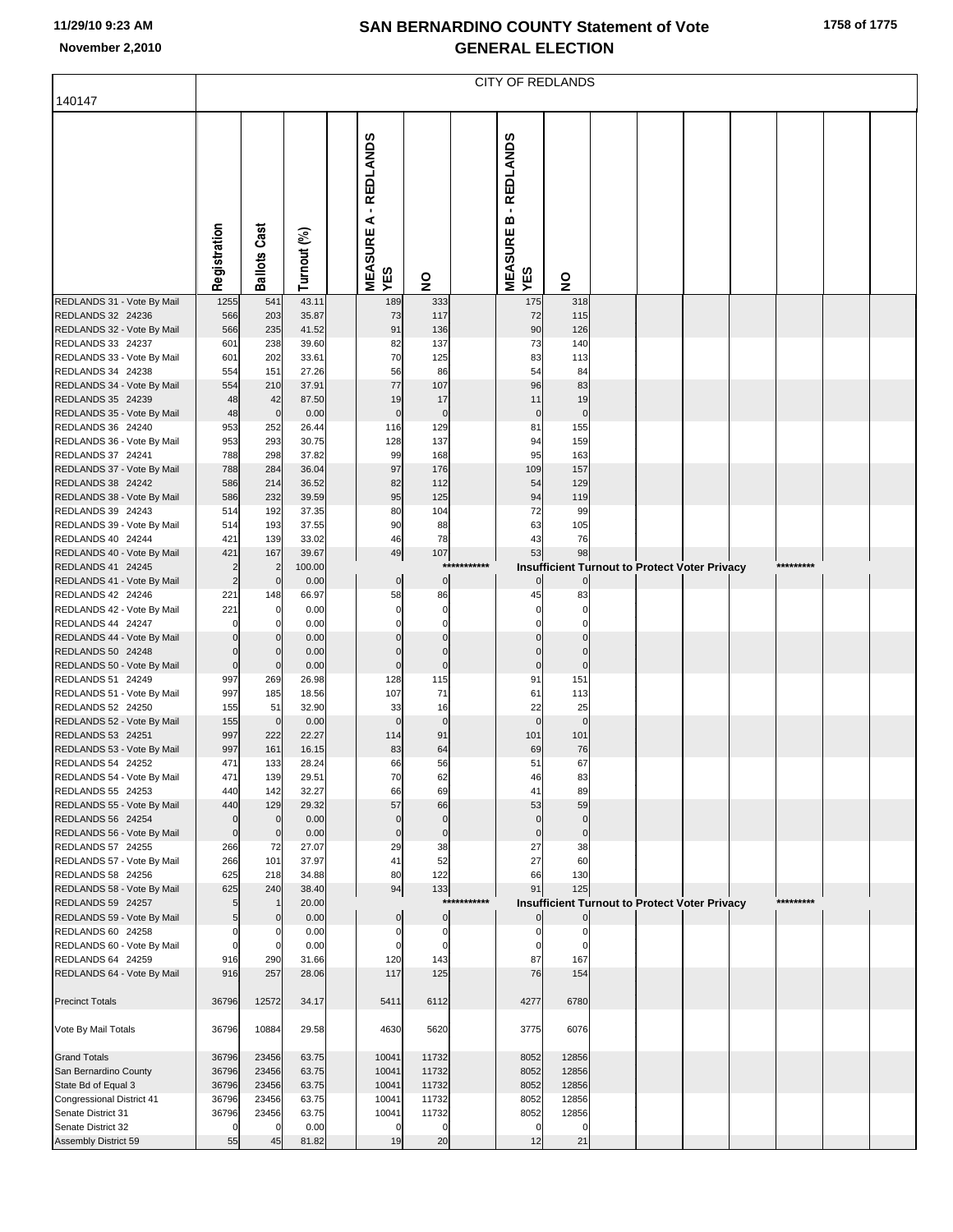|                                                  | <b>CITY OF REDLANDS</b>          |                               |                |  |                                          |                            |         |                                          |                   |  |                                                      |  |  |           |  |  |
|--------------------------------------------------|----------------------------------|-------------------------------|----------------|--|------------------------------------------|----------------------------|---------|------------------------------------------|-------------------|--|------------------------------------------------------|--|--|-----------|--|--|
| 140147                                           |                                  |                               |                |  |                                          |                            |         |                                          |                   |  |                                                      |  |  |           |  |  |
|                                                  | Registration                     | <b>Ballots Cast</b>           | Turnout (%)    |  | - REDLANDS<br>⋖<br><b>MEASURE</b><br>YES | $\overline{\mathbf{z}}$    |         | - REDLANDS<br>m<br><b>MEASURE</b><br>YES | $\frac{1}{2}$     |  |                                                      |  |  |           |  |  |
| REDLANDS 31 - Vote By Mail                       | 1255                             | 541                           | 43.11          |  | 189                                      | 333                        |         | 175                                      | 318               |  |                                                      |  |  |           |  |  |
| REDLANDS 32 24236<br>REDLANDS 32 - Vote By Mail  | 566<br>566                       | 203<br>235                    | 35.87<br>41.52 |  | 73<br>91                                 | 117<br>136                 |         | 72<br>90                                 | 115<br>126        |  |                                                      |  |  |           |  |  |
| REDLANDS 33 24237                                | 601                              | 238                           | 39.60          |  | 82                                       | 137                        |         | 73                                       | 140               |  |                                                      |  |  |           |  |  |
| REDLANDS 33 - Vote By Mail                       | 601                              | 202                           | 33.61          |  | 70                                       | 125                        |         | 83                                       | 113               |  |                                                      |  |  |           |  |  |
| REDLANDS 34 24238<br>REDLANDS 34 - Vote By Mail  | 554<br>554                       | 151<br>210                    | 27.26<br>37.91 |  | 56<br>77                                 | 86<br>107                  |         | 54<br>96                                 | 84<br>83          |  |                                                      |  |  |           |  |  |
| REDLANDS 35 24239                                | 48                               | 42                            | 87.50          |  | 19                                       | 17                         |         | 11                                       | 19                |  |                                                      |  |  |           |  |  |
| REDLANDS 35 - Vote By Mail                       | 48                               | $\mathbf 0$                   | 0.00           |  | $\mathbf 0$                              | $\mathbf 0$                |         | $\mathbf 0$                              | $\mathbf 0$       |  |                                                      |  |  |           |  |  |
| REDLANDS 36 24240                                | 953                              | 252                           | 26.44          |  | 116                                      | 129                        |         | 81                                       | 155               |  |                                                      |  |  |           |  |  |
| REDLANDS 36 - Vote By Mail<br>REDLANDS 37 24241  | 953<br>788                       | 293<br>298                    | 30.75<br>37.82 |  | 128<br>99                                | 137<br>168                 |         | 94<br>95                                 | 159<br>163        |  |                                                      |  |  |           |  |  |
| REDLANDS 37 - Vote By Mail                       | 788                              | 284                           | 36.04          |  | 97                                       | 176                        |         | 109                                      | 157               |  |                                                      |  |  |           |  |  |
| REDLANDS 38 24242                                | 586                              | 214                           | 36.52          |  | 82                                       | 112                        |         | 54                                       | 129               |  |                                                      |  |  |           |  |  |
| REDLANDS 38 - Vote By Mail<br>REDLANDS 39 24243  | 586<br>514                       | 232<br>192                    | 39.59<br>37.35 |  | 95<br>80                                 | 125<br>104                 |         | 94<br>72                                 | 119               |  |                                                      |  |  |           |  |  |
| REDLANDS 39 - Vote By Mail                       | 514                              | 193                           | 37.55          |  | 90                                       | 88                         |         | 63                                       | 99<br>105         |  |                                                      |  |  |           |  |  |
| REDLANDS 40 24244                                | 421                              | 139                           | 33.02          |  | 46                                       | 78                         |         | 43                                       | 76                |  |                                                      |  |  |           |  |  |
| REDLANDS 40 - Vote By Mail                       | 421                              | 167                           | 39.67          |  | 49                                       | 107                        | ******* | 53                                       | 98                |  |                                                      |  |  | ********* |  |  |
| REDLANDS 41 24245<br>REDLANDS 41 - Vote By Mail  | $\overline{2}$<br>$\overline{c}$ | $\overline{2}$<br>$\mathbf 0$ | 100.00<br>0.00 |  | $\overline{0}$                           | ***<br>$\pmb{0}$           |         | $\overline{0}$                           | $\mathbf 0$       |  | Insufficient Turnout to Protect Voter Privacy        |  |  |           |  |  |
| REDLANDS 42 24246                                | 221                              | 148                           | 66.97          |  | 58                                       | 86                         |         | 45                                       | 83                |  |                                                      |  |  |           |  |  |
| REDLANDS 42 - Vote By Mail                       | 221                              | $\mathbf 0$                   | 0.00           |  | $\pmb{0}$                                | $\mathbf 0$                |         | 0                                        | C                 |  |                                                      |  |  |           |  |  |
| REDLANDS 44 24247<br>REDLANDS 44 - Vote By Mail  | $\Omega$<br>$\mathbf 0$          | 0<br>$\overline{0}$           | 0.00<br>0.00   |  | $\Omega$<br>$\Omega$                     | $\mathbf 0$<br>$\Omega$    |         | 0<br>$\Omega$                            | C<br>C            |  |                                                      |  |  |           |  |  |
| REDLANDS 50 24248                                | $\mathbf 0$                      | $\mathbf{0}$                  | 0.00           |  | $\Omega$                                 | $\mathbf 0$                |         | 0                                        | $\mathsf{C}$      |  |                                                      |  |  |           |  |  |
| REDLANDS 50 - Vote By Mail                       | $\mathbf 0$                      | $\overline{0}$                | 0.00           |  | $\mathbf 0$                              | $\pmb{0}$                  |         | $\pmb{0}$                                | $\mathsf{C}$      |  |                                                      |  |  |           |  |  |
| REDLANDS 51 24249<br>REDLANDS 51 - Vote By Mail  | 997                              | 269<br>185                    | 26.98          |  | 128<br>107                               | 115<br>71                  |         | 91<br>61                                 | 151               |  |                                                      |  |  |           |  |  |
| REDLANDS 52 24250                                | 997<br>155                       | 51                            | 18.56<br>32.90 |  | 33                                       | 16                         |         | 22                                       | 113<br>25         |  |                                                      |  |  |           |  |  |
| REDLANDS 52 - Vote By Mail                       | 155                              | $\overline{0}$                | 0.00           |  | $\mathbf 0$                              | $\mathbf 0$                |         | $\mathbf 0$                              | $\mathbf 0$       |  |                                                      |  |  |           |  |  |
| REDLANDS 53 24251                                | 997<br>997                       | 222<br>161                    | 22.27<br>16.15 |  | 114<br>83                                | 91<br>64                   |         | 101<br>69                                | 101<br>76         |  |                                                      |  |  |           |  |  |
| REDLANDS 53 - Vote By Mail<br>REDLANDS 54 24252  | 471                              | 133                           | 28.24          |  | 66                                       | 56                         |         | 51                                       | 67                |  |                                                      |  |  |           |  |  |
| REDLANDS 54 - Vote By Mail                       | 471                              | 139                           | 29.51          |  | 70                                       | 62                         |         | 46                                       | 83                |  |                                                      |  |  |           |  |  |
| REDLANDS 55 24253                                | 440                              | 142                           | 32.27          |  | 66                                       | 69                         |         | 41                                       | 89                |  |                                                      |  |  |           |  |  |
| REDLANDS 55 - Vote By Mail<br>REDLANDS 56 24254  | 440<br>$\pmb{0}$                 | 129<br>$\mathbf 0$            | 29.32<br>0.00  |  | 57<br>$\mathbf 0$                        | 66<br>$\mathbf 0$          |         | 53<br>$\mathbf 0$                        | 59<br>$\mathbf 0$ |  |                                                      |  |  |           |  |  |
| REDLANDS 56 - Vote By Mail                       | $\mathbf 0$                      | $\mathbf 0$                   | 0.00           |  | $\mathbf 0$                              | $\pmb{0}$                  |         | $\mathbf 0$                              | $\mathbf 0$       |  |                                                      |  |  |           |  |  |
| REDLANDS 57 24255                                | 266                              | 72                            | 27.07          |  | 29                                       | 38                         |         | 27                                       | 38                |  |                                                      |  |  |           |  |  |
| REDLANDS 57 - Vote By Mail<br>REDLANDS 58 24256  | 266<br>625                       | 101<br>218                    | 37.97<br>34.88 |  | 41<br>80                                 | 52<br>122                  |         | 27<br>66                                 | 60<br>130         |  |                                                      |  |  |           |  |  |
| REDLANDS 58 - Vote By Mail                       | 625                              | 240                           | 38.40          |  | 94                                       | 133                        |         | 91                                       | 125               |  |                                                      |  |  |           |  |  |
| REDLANDS 59 24257                                | 5                                |                               | 20.00          |  |                                          | ***                        | ******* |                                          |                   |  | <b>Insufficient Turnout to Protect Voter Privacy</b> |  |  | ********* |  |  |
| REDLANDS 59 - Vote By Mail<br>REDLANDS 60 24258  | 5<br>$\mathbf 0$                 | $\mathbf{0}$<br>0             | 0.00<br>0.00   |  | $\pmb{0}$<br>$\mathbf 0$                 | $\mathbf 0$<br>$\mathbf 0$ |         | $\overline{0}$<br>$\Omega$               | 0                 |  |                                                      |  |  |           |  |  |
| REDLANDS 60 - Vote By Mail                       | $\mathbf 0$                      | $\mathbf 0$                   | 0.00           |  | $\mathbf 0$                              | $\mathbf 0$                |         | 0                                        | $\Omega$          |  |                                                      |  |  |           |  |  |
| REDLANDS 64 24259                                | 916                              | 290                           | 31.66          |  | 120                                      | 143                        |         | 87                                       | 167               |  |                                                      |  |  |           |  |  |
| REDLANDS 64 - Vote By Mail                       | 916                              | 257                           | 28.06          |  | 117                                      | 125                        |         | 76                                       | 154               |  |                                                      |  |  |           |  |  |
| <b>Precinct Totals</b>                           | 36796                            | 12572                         | 34.17          |  | 5411                                     | 6112                       |         | 4277                                     | 6780              |  |                                                      |  |  |           |  |  |
| Vote By Mail Totals                              | 36796                            | 10884                         | 29.58          |  | 4630                                     | 5620                       |         | 3775                                     | 6076              |  |                                                      |  |  |           |  |  |
| <b>Grand Totals</b>                              | 36796                            | 23456                         | 63.75          |  | 10041                                    | 11732                      |         | 8052                                     | 12856             |  |                                                      |  |  |           |  |  |
| San Bernardino County                            | 36796                            | 23456                         | 63.75          |  | 10041                                    | 11732                      |         | 8052                                     | 12856             |  |                                                      |  |  |           |  |  |
| State Bd of Equal 3<br>Congressional District 41 | 36796<br>36796                   | 23456<br>23456                | 63.75<br>63.75 |  | 10041<br>10041                           | 11732<br>11732             |         | 8052<br>8052                             | 12856<br>12856    |  |                                                      |  |  |           |  |  |
| Senate District 31                               | 36796                            | 23456                         | 63.75          |  | 10041                                    | 11732                      |         | 8052                                     | 12856             |  |                                                      |  |  |           |  |  |
| Senate District 32                               | 0                                | 0                             | 0.00           |  | $\mathbf 0$                              | $\mathbf 0$                |         | $\mathbf 0$                              | $\mathbf 0$       |  |                                                      |  |  |           |  |  |
| Assembly District 59                             | 55                               | 45                            | 81.82          |  | 19                                       | 20                         |         | 12                                       | 21                |  |                                                      |  |  |           |  |  |